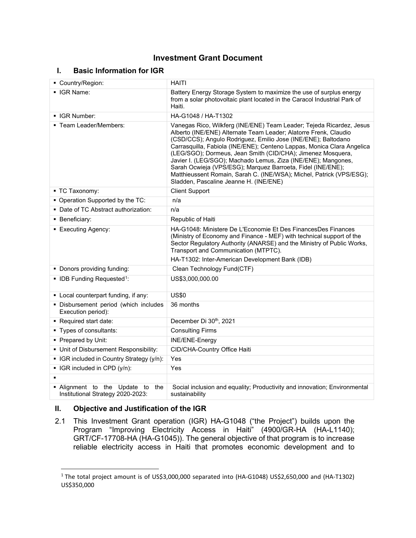# **Investment Grant Document**

# **I. Basic Information for IGR**

| Country/Region:                                                       | <b>HAITI</b>                                                                                                                                                                                                                                                                                                                                                                                                                                                                                                                                                                                         |  |  |
|-----------------------------------------------------------------------|------------------------------------------------------------------------------------------------------------------------------------------------------------------------------------------------------------------------------------------------------------------------------------------------------------------------------------------------------------------------------------------------------------------------------------------------------------------------------------------------------------------------------------------------------------------------------------------------------|--|--|
| • IGR Name:                                                           | Battery Energy Storage System to maximize the use of surplus energy<br>from a solar photovoltaic plant located in the Caracol Industrial Park of<br>Haiti.                                                                                                                                                                                                                                                                                                                                                                                                                                           |  |  |
| • IGR Number:                                                         | HA-G1048 / HA-T1302                                                                                                                                                                                                                                                                                                                                                                                                                                                                                                                                                                                  |  |  |
| ■ Team Leader/Members:                                                | Vanegas Rico, Wilkferg (INE/ENE) Team Leader; Tejeda Ricardez, Jesus<br>Alberto (INE/ENE) Alternate Team Leader; Alatorre Frenk, Claudio<br>(CSD/CCS); Angulo Rodriguez, Emilio Jose (INE/ENE); Baltodano<br>Carrasquilla, Fabiola (INE/ENE); Centeno Lappas, Monica Clara Angelica<br>(LEG/SGO); Dormeus, Jean Smith (CID/CHA); Jimenez Mosquera,<br>Javier I. (LEG/SGO); Machado Lemus, Ziza (INE/ENE); Mangones,<br>Sarah Ocwieja (VPS/ESG); Marquez Barroeta, Fidel (INE/ENE);<br>Matthieussent Romain, Sarah C. (INE/WSA); Michel, Patrick (VPS/ESG);<br>Sladden, Pascaline Jeanne H. (INE/ENE) |  |  |
| ■ TC Taxonomy:                                                        | <b>Client Support</b>                                                                                                                                                                                                                                                                                                                                                                                                                                                                                                                                                                                |  |  |
| • Operation Supported by the TC:                                      | n/a                                                                                                                                                                                                                                                                                                                                                                                                                                                                                                                                                                                                  |  |  |
| • Date of TC Abstract authorization:                                  | n/a                                                                                                                                                                                                                                                                                                                                                                                                                                                                                                                                                                                                  |  |  |
| • Beneficiary:                                                        | Republic of Haiti                                                                                                                                                                                                                                                                                                                                                                                                                                                                                                                                                                                    |  |  |
| • Executing Agency:                                                   | HA-G1048: Ministere De L'Economie Et Des FinancesDes Finances<br>(Ministry of Economy and Finance - MEF) with technical support of the<br>Sector Regulatory Authority (ANARSE) and the Ministry of Public Works,<br>Transport and Communication (MTPTC).<br>HA-T1302: Inter-American Development Bank (IDB)                                                                                                                                                                                                                                                                                          |  |  |
| • Donors providing funding:                                           | Clean Technology Fund(CTF)                                                                                                                                                                                                                                                                                                                                                                                                                                                                                                                                                                           |  |  |
| • IDB Funding Requested <sup>1</sup> :                                | US\$3,000,000.00                                                                                                                                                                                                                                                                                                                                                                                                                                                                                                                                                                                     |  |  |
| • Local counterpart funding, if any:                                  | <b>US\$0</b>                                                                                                                                                                                                                                                                                                                                                                                                                                                                                                                                                                                         |  |  |
| · Disbursement period (which includes<br>Execution period):           | 36 months                                                                                                                                                                                                                                                                                                                                                                                                                                                                                                                                                                                            |  |  |
| Required start date:                                                  | December Di 30th, 2021                                                                                                                                                                                                                                                                                                                                                                                                                                                                                                                                                                               |  |  |
| • Types of consultants:                                               | <b>Consulting Firms</b>                                                                                                                                                                                                                                                                                                                                                                                                                                                                                                                                                                              |  |  |
| • Prepared by Unit:                                                   | <b>INE/ENE-Energy</b>                                                                                                                                                                                                                                                                                                                                                                                                                                                                                                                                                                                |  |  |
| • Unit of Disbursement Responsibility:                                | CID/CHA-Country Office Haiti                                                                                                                                                                                                                                                                                                                                                                                                                                                                                                                                                                         |  |  |
| • IGR included in Country Strategy (y/n):                             | Yes                                                                                                                                                                                                                                                                                                                                                                                                                                                                                                                                                                                                  |  |  |
| • IGR included in CPD (y/n):                                          | Yes                                                                                                                                                                                                                                                                                                                                                                                                                                                                                                                                                                                                  |  |  |
|                                                                       |                                                                                                                                                                                                                                                                                                                                                                                                                                                                                                                                                                                                      |  |  |
| . Alignment to the Update to the<br>Institutional Strategy 2020-2023: | Social inclusion and equality; Productivity and innovation; Environmental<br>sustainability                                                                                                                                                                                                                                                                                                                                                                                                                                                                                                          |  |  |

# **II. Objective and Justification of the IGR**

2.1 This Investment Grant operation (IGR) HA-G1048 ("the Project") builds upon the Program "Improving Electricity Access in Haiti" (4900/GR-HA (HA-L1140); GRT/CF-17708-HA (HA-G1045)). The general objective of that program is to increase reliable electricity access in Haiti that promotes economic development and to

<span id="page-0-0"></span><sup>&</sup>lt;sup>1</sup> The total project amount is of US\$3,000,000 separated into (HA-G1048) US\$2,650,000 and (HA-T1302) US\$350,000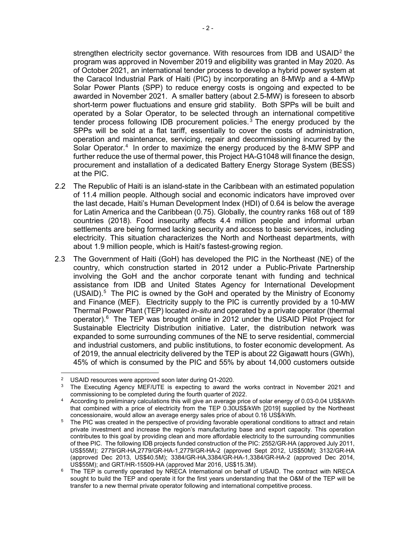strengthen electricity sector governance. With resources from IDB and USAID<sup>[2](#page-1-0)</sup> the program was approved in November 2019 and eligibility was granted in May 2020. As of October 2021, an international tender process to develop a hybrid power system at the Caracol Industrial Park of Haiti (PIC) by incorporating an 8-MWp and a 4-MWp Solar Power Plants (SPP) to reduce energy costs is ongoing and expected to be awarded in November 2021. A smaller battery (about 2.5-MW) is foreseen to absorb short-term power fluctuations and ensure grid stability. Both SPPs will be built and operated by a Solar Operator, to be selected through an international competitive tender process following IDB procurement policies. [3](#page-1-1) The energy produced by the SPPs will be sold at a flat tariff, essentially to cover the costs of administration, operation and maintenance, servicing, repair and decommissioning incurred by the Solar Operator.<sup>[4](#page-1-2)</sup> In order to maximize the energy produced by the 8-MW SPP and further reduce the use of thermal power, this Project HA-G1048 will finance the design, procurement and installation of a dedicated Battery Energy Storage System (BESS) at the PIC.

- 2.2 The Republic of Haiti is an island-state in the Caribbean with an estimated population of 11.4 million people. Although social and economic indicators have improved over the last decade, Haiti's Human Development Index (HDI) of 0.64 is below the average for Latin America and the Caribbean (0.75). Globally, the country ranks 168 out of 189 countries (2018). Food insecurity affects 4.4 million people and informal urban settlements are being formed lacking security and access to basic services, including electricity. This situation characterizes the North and Northeast departments, with about 1.9 million people, which is Haiti's fastest-growing region.
- 2.3 The Government of Haiti (GoH) has developed the PIC in the Northeast (NE) of the country, which construction started in 2012 under a Public-Private Partnership involving the GoH and the anchor corporate tenant with funding and technical assistance from IDB and United States Agency for International Development  $(USAID).<sup>5</sup>$  $(USAID).<sup>5</sup>$  $(USAID).<sup>5</sup>$  The PIC is owned by the GoH and operated by the Ministry of Economy and Finance (MEF). Electricity supply to the PIC is currently provided by a 10-MW Thermal Power Plant (TEP) located *in-situ* and operated by a private operator (thermal operator).[6](#page-1-4) The TEP was brought online in 2012 under the USAID Pilot Project for Sustainable Electricity Distribution initiative. Later, the distribution network was expanded to some surrounding communes of the NE to serve residential, commercial and industrial customers, and public institutions, to foster economic development. As of 2019, the annual electricity delivered by the TEP is about 22 Gigawatt hours (GWh), 45% of which is consumed by the PIC and 55% by about 14,000 customers outside

USAID resources were approved soon later during Q1-2020.

<span id="page-1-1"></span><span id="page-1-0"></span><sup>&</sup>lt;sup>3</sup> The Executing Agency MEF/UTE is expecting to award the works contract in November 2021 and commissioning to be completed during the fourth quarter of 2022.

<span id="page-1-2"></span><sup>4</sup> According to preliminary calculations this will give an average price of solar energy of 0.03-0.04 US\$/kWh that combined with a price of electricity from the TEP 0.30US\$/kWh [2019] supplied by the Northeast concessionaire, would allow an average energy sales price of about 0.16 US\$/kWh.

<span id="page-1-3"></span><sup>&</sup>lt;sup>5</sup> The PIC was created in the perspective of providing favorable operational conditions to attract and retain private investment and increase the region's manufacturing base and export capacity. This operation contributes to this goal by providing clean and more affordable electricity to the surrounding communities of thee PIC. The following IDB projects funded construction of the PIC: 2552/GR-HA (approved July 2011, US\$55M); 2779/GR-HA,2779/GR-HA-1,2779/GR-HA-2 (approved Sept 2012, US\$50M); 3132/GR-HA (approved Dec 2013, US\$40.5M); 3384/GR-HA,3384/GR-HA-1,3384/GR-HA-2 (approved Dec 2014, US\$55M); and GRT/HR-15509-HA (approved Mar 2016, US\$15.3M).

<span id="page-1-4"></span> $6$  The TEP is currently operated by NRECA International on behalf of USAID. The contract with NRECA sought to build the TEP and operate it for the first years understanding that the O&M of the TEP will be transfer to a new thermal private operator following and international competitive process.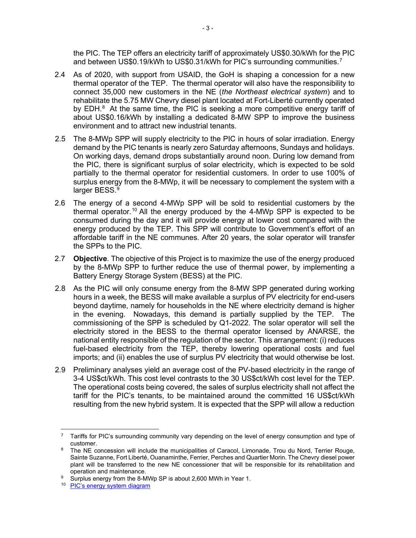the PIC. The TEP offers an electricity tariff of approximately US\$0.30/kWh for the PIC and between US\$0.19/kWh to US\$0.31/kWh for PIC's surrounding communities.<sup>[7](#page-2-0)</sup>

- 2.4 As of 2020, with support from USAID, the GoH is shaping a concession for a new thermal operator of the TEP. The thermal operator will also have the responsibility to connect 35,000 new customers in the NE (*the Northeast electrical system*) and to rehabilitate the 5.75 MW Chevry diesel plant located at Fort-Liberté currently operated by EDH. $8$  At the same time, the PIC is seeking a more competitive energy tariff of about US\$0.16/kWh by installing a dedicated 8-MW SPP to improve the business environment and to attract new industrial tenants.
- 2.5 The 8-MWp SPP will supply electricity to the PIC in hours of solar irradiation. Energy demand by the PIC tenants is nearly zero Saturday afternoons, Sundays and holidays. On working days, demand drops substantially around noon. During low demand from the PIC, there is significant surplus of solar electricity, which is expected to be sold partially to the thermal operator for residential customers. In order to use 100% of surplus energy from the 8-MWp, it will be necessary to complement the system with a larger BESS. [9](#page-2-2)
- 2.6 The energy of a second 4-MWp SPP will be sold to residential customers by the thermal operator.<sup>[10](#page-2-3)</sup> All the energy produced by the 4-MWp SPP is expected to be consumed during the day and it will provide energy at lower cost compared with the energy produced by the TEP. This SPP will contribute to Government's effort of an affordable tariff in the NE communes. After 20 years, the solar operator will transfer the SPPs to the PIC.
- 2.7 **Objective**. The objective of this Project is to maximize the use of the energy produced by the 8-MWp SPP to further reduce the use of thermal power, by implementing a Battery Energy Storage System (BESS) at the PIC.
- 2.8 As the PIC will only consume energy from the 8-MW SPP generated during working hours in a week, the BESS will make available a surplus of PV electricity for end-users beyond daytime, namely for households in the NE where electricity demand is higher in the evening. Nowadays, this demand is partially supplied by the TEP. The commissioning of the SPP is scheduled by Q1-2022. The solar operator will sell the electricity stored in the BESS to the thermal operator licensed by ANARSE, the national entity responsible of the regulation of the sector. This arrangement: (i) reduces fuel-based electricity from the TEP, thereby lowering operational costs and fuel imports; and (ii) enables the use of surplus PV electricity that would otherwise be lost.
- 2.9 Preliminary analyses yield an average cost of the PV-based electricity in the range of 3-4 US\$ct/kWh. This cost level contrasts to the 30 US\$ct/kWh cost level for the TEP. The operational costs being covered, the sales of surplus electricity shall not affect the tariff for the PIC's tenants, to be maintained around the committed 16 US\$ct/kWh resulting from the new hybrid system. It is expected that the SPP will allow a reduction

<span id="page-2-0"></span><sup>7</sup> Tariffs for PIC's surrounding community vary depending on the level of energy consumption and type of customer.

<span id="page-2-1"></span><sup>&</sup>lt;sup>8</sup> The NE concession will include the municipalities of Caracol, Limonade, Trou du Nord, Terrier Rouge, Sainte Suzanne, Fort Liberté, Ouanaminthe, Ferrier, Perches and Quartier Morin. The Chevry diesel power plant will be transferred to the new NE concessioner that will be responsible for its rehabilitation and operation and maintenance.

<span id="page-2-3"></span><span id="page-2-2"></span><sup>&</sup>lt;sup>9</sup> Surplus energy from the 8-MWp SP is about 2,600 MWh in Year 1.

<sup>10</sup> [PIC's energy system diagram](https://idbg.sharepoint.com/teams/EZ-HA-IGR/HA-G1048/15%20LifeCycle%20Milestones/PIC%20%20-%20Energy%20system%20diagram%20.docx?d=w87d2b734488a43758c36e720e90e7434)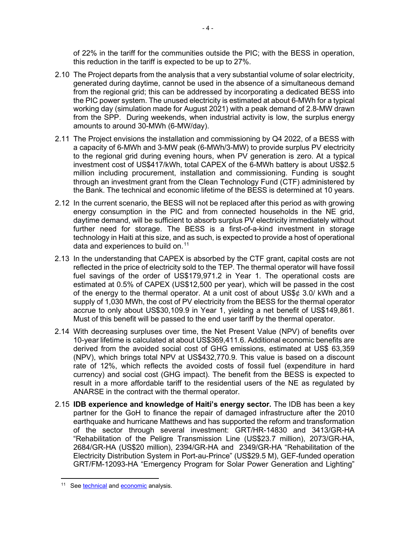of 22% in the tariff for the communities outside the PIC; with the BESS in operation, this reduction in the tariff is expected to be up to 27%.

- 2.10 The Project departs from the analysis that a very substantial volume of solar electricity, generated during daytime, cannot be used in the absence of a simultaneous demand from the regional grid; this can be addressed by incorporating a dedicated BESS into the PIC power system. The unused electricity is estimated at about 6-MWh for a typical working day (simulation made for August 2021) with a peak demand of 2.8-MW drawn from the SPP. During weekends, when industrial activity is low, the surplus energy amounts to around 30-MWh (6-MW/day).
- 2.11 The Project envisions the installation and commissioning by Q4 2022, of a BESS with a capacity of 6-MWh and 3-MW peak (6-MWh/3-MW) to provide surplus PV electricity to the regional grid during evening hours, when PV generation is zero. At a typical investment cost of US\$417/kWh, total CAPEX of the 6-MWh battery is about US\$2.5 million including procurement, installation and commissioning. Funding is sought through an investment grant from the Clean Technology Fund (CTF) administered by the Bank. The technical and economic lifetime of the BESS is determined at 10 years.
- 2.12 In the current scenario, the BESS will not be replaced after this period as with growing energy consumption in the PIC and from connected households in the NE grid, daytime demand, will be sufficient to absorb surplus PV electricity immediately without further need for storage. The BESS is a first-of-a-kind investment in storage technology in Haiti at this size, and as such, is expected to provide a host of operational data and experiences to build on.<sup>[11](#page-3-0)</sup>
- 2.13 In the understanding that CAPEX is absorbed by the CTF grant, capital costs are not reflected in the price of electricity sold to the TEP. The thermal operator will have fossil fuel savings of the order of US\$179,971.2 in Year 1. The operational costs are estimated at 0.5% of CAPEX (US\$12,500 per year), which will be passed in the cost of the energy to the thermal operator. At a unit cost of about US\$ $\phi$  3.0/ kWh and a supply of 1,030 MWh, the cost of PV electricity from the BESS for the thermal operator accrue to only about US\$30,109.9 in Year 1, yielding a net benefit of US\$149,861. Must of this benefit will be passed to the end user tariff by the thermal operator.
- 2.14 With decreasing surpluses over time, the Net Present Value (NPV) of benefits over 10-year lifetime is calculated at about US\$369,411.6. Additional economic benefits are derived from the avoided social cost of GHG emissions, estimated at US\$ 63,359 (NPV), which brings total NPV at US\$432,770.9. This value is based on a discount rate of 12%, which reflects the avoided costs of fossil fuel (expenditure in hard currency) and social cost (GHG impact). The benefit from the BESS is expected to result in a more affordable tariff to the residential users of the NE as regulated by ANARSE in the contract with the thermal operator.
- 2.15 **IDB experience and knowledge of Haiti's energy sector.** The IDB has been a key partner for the GoH to finance the repair of damaged infrastructure after the 2010 earthquake and hurricane Matthews and has supported the reform and transformation of the sector through several investment: GRT/HR-14830 and 3413/GR-HA "Rehabilitation of the Peligre Transmission Line (US\$23.7 million), 2073/GR-HA, 2684/GR-HA (US\$20 million), 2394/GR-HA and 2349/GR-HA "Rehabilitation of the Electricity Distribution System in Port-au-Prince" (US\$29.5 M), GEF-funded operation GRT/FM-12093-HA "Emergency Program for Solar Power Generation and Lighting"

 $-4 -$ 

<span id="page-3-0"></span><sup>&</sup>lt;sup>11</sup> See [technical](https://idbg.sharepoint.com/teams/EZ-HA-IGR/HA-G1048/15%20LifeCycle%20Milestones/An%C3%A1lisis%20para%20la%20incorporaci%C3%B3n%20de%20un%20sistema%20de%20bater%C3%ADas%20para%20aprovechamiento%20de%20excedentes%20en%20el%20PIC.docx?d=w034be3042c114999a24237a9cd9214d7) an[d economic](https://idbg.sharepoint.com/teams/EZ-HA-IGR/HA-G1048/15%20LifeCycle%20Milestones/Simulaci%C3%B3n%20BATT%20extra%20.xlsx?d=wa9925b2a66d74d2b91edc7377cebf9b9) analysis.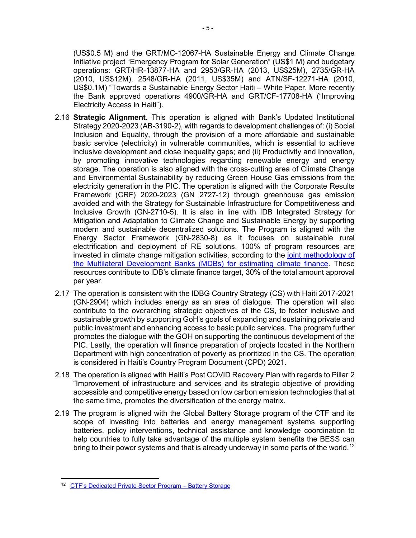(US\$0.5 M) and the GRT/MC-12067-HA Sustainable Energy and Climate Change Initiative project "Emergency Program for Solar Generation" (US\$1 M) and budgetary operations: GRT/HR-13877-HA and 2953/GR-HA (2013, US\$25M), 2735/GR-HA (2010, US\$12M), 2548/GR-HA (2011, US\$35M) and ATN/SF-12271-HA (2010, US\$0.1M) "Towards a Sustainable Energy Sector Haiti – White Paper. More recently the Bank approved operations 4900/GR-HA and GRT/CF-17708-HA ("Improving Electricity Access in Haiti").

- 2.16 **Strategic Alignment.** This operation is aligned with Bank's Updated Institutional Strategy 2020-2023 (AB-3190-2), with regards to development challenges of: (i) Social Inclusion and Equality, through the provision of a more affordable and sustainable basic service (electricity) in vulnerable communities, which is essential to achieve inclusive development and close inequality gaps; and (ii) Productivity and Innovation, by promoting innovative technologies regarding renewable energy and energy storage. The operation is also aligned with the cross-cutting area of Climate Change and Environmental Sustainability by reducing Green House Gas emissions from the electricity generation in the PIC. The operation is aligned with the Corporate Results Framework (CRF) 2020-2023 (GN 2727-12) through greenhouse gas emission avoided and with the Strategy for Sustainable Infrastructure for Competitiveness and Inclusive Growth (GN-2710-5). It is also in line with IDB Integrated Strategy for Mitigation and Adaptation to Climate Change and Sustainable Energy by supporting modern and sustainable decentralized solutions. The Program is aligned with the Energy Sector Framework (GN-2830-8) as it focuses on sustainable rural electrification and deployment of RE solutions. 100% of program resources are invested in climate change mitigation activities, according to the [joint methodology of](https://publications.iadb.org/en/2019-joint-report-on-multilateral-development-banks-climate-finance)  [the Multilateral Development Banks \(MDBs\) for estimating climate finance.](https://publications.iadb.org/en/2019-joint-report-on-multilateral-development-banks-climate-finance) These resources contribute to IDB's climate finance target, 30% of the total amount approval per year.
- 2.17 The operation is consistent with the IDBG Country Strategy (CS) with Haiti 2017-2021 (GN-2904) which includes energy as an area of dialogue. The operation will also contribute to the overarching strategic objectives of the CS, to foster inclusive and sustainable growth by supporting GoH's goals of expanding and sustaining private and public investment and enhancing access to basic public services. The program further promotes the dialogue with the GOH on supporting the continuous development of the PIC. Lastly, the operation will finance preparation of projects located in the Northern Department with high concentration of poverty as prioritized in the CS. The operation is considered in Haiti's Country Program Document (CPD) 2021.
- 2.18 The operation is aligned with Haiti's Post COVID Recovery Plan with regards to Pillar 2 "Improvement of infrastructure and services and its strategic objective of providing accessible and competitive energy based on low carbon emission technologies that at the same time, promotes the diversification of the energy matrix.
- 2.19 The program is aligned with the Global Battery Storage program of the CTF and its scope of investing into batteries and energy management systems supporting batteries, policy interventions, technical assistance and knowledge coordination to help countries to fully take advantage of the multiple system benefits the BESS can bring to their power systems and that is already underway in some parts of the world. $^{\mathsf{12}}$  $^{\mathsf{12}}$  $^{\mathsf{12}}$

<span id="page-4-0"></span><sup>12</sup> CTF's [Dedicated Private Sector Program – Battery Storage](https://www.climateinvestmentfunds.org/sites/cif_enc/files/meeting-documents/ctf_22_7_dedicated_private_sector_program_battery_storage_0.pdf)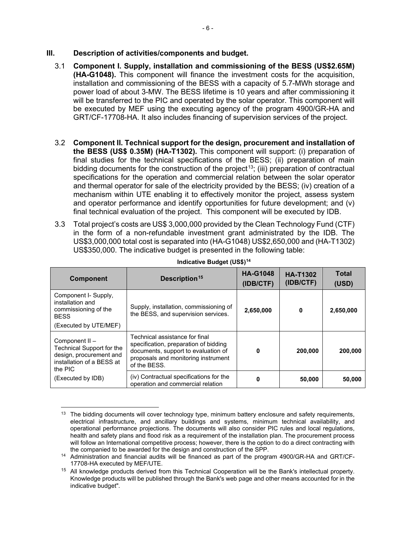#### **III. Description of activities/components and budget.**

- 3.1 **Component I. Supply, installation and commissioning of the BESS (US\$2.65M) (HA-G1048).** This component will finance the investment costs for the acquisition, installation and commissioning of the BESS with a capacity of 5.7-MWh storage and power load of about 3-MW. The BESS lifetime is 10 years and after commissioning it will be transferred to the PIC and operated by the solar operator. This component will be executed by MEF using the executing agency of the program 4900/GR-HA and GRT/CF-17708-HA. It also includes financing of supervision services of the project.
- 3.2 **Component II. Technical support for the design, procurement and installation of the BESS (US\$ 0.35M) (HA-T1302).** This component will support: (i) preparation of final studies for the technical specifications of the BESS; (ii) preparation of main bidding documents for the construction of the project<sup>13</sup>; (iii) preparation of contractual specifications for the operation and commercial relation between the solar operator and thermal operator for sale of the electricity provided by the BESS; (iv) creation of a mechanism within UTE enabling it to effectively monitor the project, assess system and operator performance and identify opportunities for future development; and (v) final technical evaluation of the project. This component will be executed by IDB.
- 3.3 Total project's costs are US\$ 3,000,000 provided by the Clean Technology Fund (CTF) in the form of a non-refundable investment grant administrated by the IDB. The US\$3,000,000 total cost is separated into (HA-G1048) US\$2,650,000 and (HA-T1302) US\$350,000. The indicative budget is presented in the following table:

| <b>Component</b>                                                                                               | Description <sup>15</sup>                                                                                                                                             | <b>HA-G1048</b><br>(IDB/CTF) | <b>HA-T1302</b><br>(IDB/CTF) | <b>Total</b><br>(USD) |
|----------------------------------------------------------------------------------------------------------------|-----------------------------------------------------------------------------------------------------------------------------------------------------------------------|------------------------------|------------------------------|-----------------------|
| Component I- Supply,<br>installation and<br>commissioning of the<br><b>BFSS</b>                                | Supply, installation, commissioning of<br>the BESS, and supervision services.                                                                                         | 2,650,000                    | 0                            | 2,650,000             |
| (Executed by UTE/MEF)                                                                                          |                                                                                                                                                                       |                              |                              |                       |
| Component II -<br>Technical Support for the<br>design, procurement and<br>installation of a BESS at<br>the PIC | Technical assistance for final<br>specification, preparation of bidding<br>documents, support to evaluation of<br>proposals and monitoring instrument<br>of the BESS. | 0                            | 200,000                      | 200,000               |
| (Executed by IDB)                                                                                              | (iv) Contractual specifications for the<br>operation and commercial relation                                                                                          | 0                            | 50,000                       | 50,000                |

#### **Indicative Budget (US\$[\)14](#page-5-1)**

<span id="page-5-0"></span><sup>&</sup>lt;sup>13</sup> The bidding documents will cover technology type, minimum battery enclosure and safety requirements, electrical infrastructure, and ancillary buildings and systems, minimum technical availability, and operational performance projections. The documents will also consider PIC rules and local regulations, health and safety plans and flood risk as a requirement of the installation plan. The procurement process will follow an International competitive process; however, there is the option to do a direct contracting with

<span id="page-5-1"></span>the companied to be awarded for the design and construction of the SPP. 14 Administration and financial audits will be financed as part of the program 4900/GR-HA and GRT/CF-17708-HA executed by MEF/UTE.

<span id="page-5-2"></span><sup>15</sup> All knowledge products derived from this Technical Cooperation will be the Bank's intellectual property. Knowledge products will be published through the Bank's web page and other means accounted for in the indicative budget".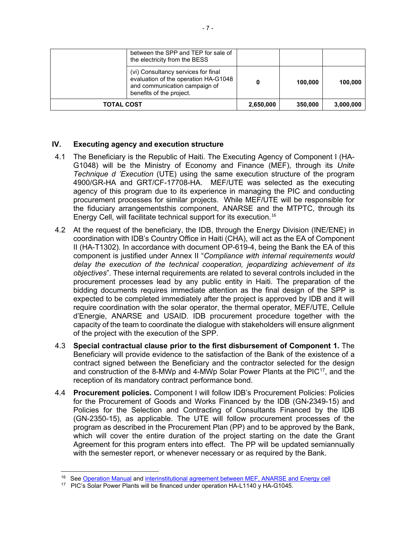| <b>TOTAL COST</b> |                                                                                                                                          | 2,650,000 | 350,000 | 3,000,000 |
|-------------------|------------------------------------------------------------------------------------------------------------------------------------------|-----------|---------|-----------|
|                   | (vi) Consultancy services for final<br>evaluation of the operation HA-G1048<br>and communication campaign of<br>benefits of the project. | 0         | 100,000 | 100,000   |
|                   | between the SPP and TEP for sale of<br>the electricity from the BESS                                                                     |           |         |           |

### **IV. Executing agency and execution structure**

- 4.1 The Beneficiary is the Republic of Haiti. The Executing Agency of Component I (HA-G1048) will be the Ministry of Economy and Finance (MEF), through its *Unite Technique d 'Execution* (UTE) using the same execution structure of the program 4900/GR-HA and GRT/CF-17708-HA. MEF/UTE was selected as the executing agency of this program due to its experience in managing the PIC and conducting procurement processes for similar projects. While MEF/UTE will be responsible for the fiduciary arrangementsthis component, ANARSE and the MTPTC, through its Energy Cell, will facilitate technical support for its execution. [16](#page-6-0)
- 4.2 At the request of the beneficiary, the IDB, through the Energy Division (INE/ENE) in coordination with IDB's Country Office in Haiti (CHA), will act as the EA of Component II (HA-T1302). In accordance with document OP-619-4, being the Bank the EA of this component is justified under Annex II "*Compliance with internal requirements would delay the execution of the technical cooperation, jeopardizing achievement of its objectives*". These internal requirements are related to several controls included in the procurement processes lead by any public entity in Haiti. The preparation of the bidding documents requires immediate attention as the final design of the SPP is expected to be completed immediately after the project is approved by IDB and it will require coordination with the solar operator, the thermal operator, MEF/UTE, Cellule d'Energie, ANARSE and USAID. IDB procurement procedure together with the capacity of the team to coordinate the dialogue with stakeholders will ensure alignment of the project with the execution of the SPP.
- 4.3 **Special contractual clause prior to the first disbursement of Component 1.** The Beneficiary will provide evidence to the satisfaction of the Bank of the existence of a contract signed between the Beneficiary and the contractor selected for the design and construction of the 8-MWp and 4-MWp Solar Power Plants at the  $PIC^{17}$  $PIC^{17}$  $PIC^{17}$ , and the reception of its mandatory contract performance bond.
- 4.4 **Procurement policies.** Component I will follow IDB's Procurement Policies: Policies for the Procurement of Goods and Works Financed by the IDB (GN-2349-15) and Policies for the Selection and Contracting of Consultants Financed by the IDB (GN-2350-15), as applicable. The UTE will follow procurement processes of the program as described in the Procurement Plan (PP) and to be approved by the Bank, which will cover the entire duration of the project starting on the date the Grant Agreement for this program enters into effect. The PP will be updated semiannually with the semester report, or whenever necessary or as required by the Bank.

<span id="page-6-1"></span><span id="page-6-0"></span><sup>&</sup>lt;sup>16</sup> See [Operation Manual](https://idbg.sharepoint.com/teams/EZ-HA-LON/HA-L1140/_layouts/15/DocIdRedir.aspx?ID=EZSHARE-86767959-23) an[d interinstitutional agreement between MEF, ANARSE and Energy cell](https://idbg.sharepoint.com/teams/EZ-HA-LON/HA-L1140/_layouts/15/DocIdRedir.aspx?ID=EZSHARE-86767959-24) 17 PIC's Solar Power Plants will be financed under operation HA-L1140 y HA-G1045.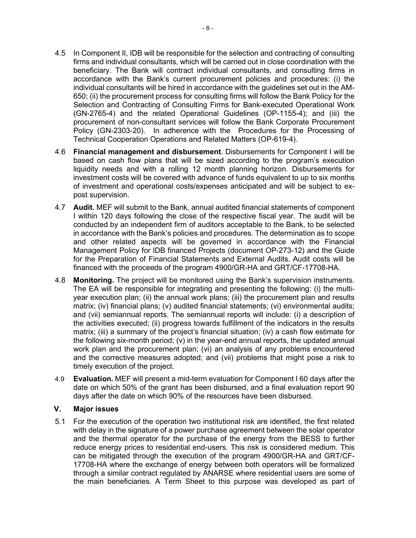- 4.5 In Component II, IDB will be responsible for the selection and contracting of consulting firms and individual consultants, which will be carried out in close coordination with the beneficiary. The Bank will contract individual consultants, and consulting firms in accordance with the Bank's current procurement policies and procedures: (i) the individual consultants will be hired in accordance with the guidelines set out in the AM-650; (ii) the procurement process for consulting firms will follow the Bank Policy for the Selection and Contracting of Consulting Firms for Bank-executed Operational Work (GN-2765-4) and the related Operational Guidelines (OP-1155-4); and (iii) the procurement of non-consultant services will follow the Bank Corporate Procurement Policy (GN-2303-20). In adherence with the Procedures for the Processing of Technical Cooperation Operations and Related Matters (OP-619-4).
- 4.6 **Financial management and disbursement**. Disbursements for Component I will be based on cash flow plans that will be sized according to the program's execution liquidity needs and with a rolling 12 month planning horizon. Disbursements for investment costs will be covered with advance of funds equivalent to up to six months of investment and operational costs/expenses anticipated and will be subject to expost supervision.
- 4.7 **Audit.** MEF will submit to the Bank, annual audited financial statements of component I within 120 days following the close of the respective fiscal year. The audit will be conducted by an independent firm of auditors acceptable to the Bank, to be selected in accordance with the Bank's policies and procedures. The determination as to scope and other related aspects will be governed in accordance with the Financial Management Policy for IDB financed Projects (document OP-273-12) and the Guide for the Preparation of Financial Statements and External Audits. Audit costs will be financed with the proceeds of the program 4900/GR-HA and GRT/CF-17708-HA.
- 4.8 **Monitoring.** The project will be monitored using the Bank's supervision instruments. The EA will be responsible for integrating and presenting the following: (i) the multiyear execution plan; (ii) the annual work plans; (iii) the procurement plan and results matrix; (iv) financial plans; (v) audited financial statements; (vi) environmental audits; and (vii) semiannual reports. The semiannual reports will include: (i) a description of the activities executed; (ii) progress towards fulfillment of the indicators in the results matrix; (iii) a summary of the project's financial situation; (iv) a cash flow estimate for the following six-month period; (v) in the year-end annual reports, the updated annual work plan and the procurement plan; (vi) an analysis of any problems encountered and the corrective measures adopted; and (vii) problems that might pose a risk to timely execution of the project.
- 4.9 **Evaluation.** MEF will present a mid-term evaluation for Component I 60 days after the date on which 50% of the grant has been disbursed, and a final evaluation report 90 days after the date on which 90% of the resources have been disbursed.

#### **V. Major issues**

5.1 For the execution of the operation two institutional risk are identified, the first related with delay in the signature of a power purchase agreement between the solar operator and the thermal operator for the purchase of the energy from the BESS to further reduce energy prices to residential end-users. This risk is considered medium. This can be mitigated through the execution of the program 4900/GR-HA and GRT/CF-17708-HA where the exchange of energy between both operators will be formalized through a similar contract regulated by ANARSE where residential users are some of the main beneficiaries. A Term Sheet to this purpose was developed as part of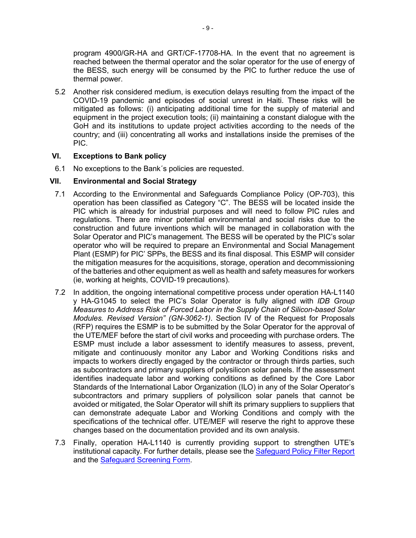program 4900/GR-HA and GRT/CF-17708-HA. In the event that no agreement is reached between the thermal operator and the solar operator for the use of energy of the BESS, such energy will be consumed by the PIC to further reduce the use of thermal power.

5.2 Another risk considered medium, is execution delays resulting from the impact of the COVID-19 pandemic and episodes of social unrest in Haiti. These risks will be mitigated as follows: (i) anticipating additional time for the supply of material and equipment in the project execution tools; (ii) maintaining a constant dialogue with the GoH and its institutions to update project activities according to the needs of the country; and (iii) concentrating all works and installations inside the premises of the PIC.

# **VI. Exceptions to Bank policy**

6.1 No exceptions to the Bank´s policies are requested.

### **VII. Environmental and Social Strategy**

- 7.1 According to the Environmental and Safeguards Compliance Policy (OP-703), this operation has been classified as Category "C". The BESS will be located inside the PIC which is already for industrial purposes and will need to follow PIC rules and regulations. There are minor potential environmental and social risks due to the construction and future inventions which will be managed in collaboration with the Solar Operator and PIC's management. The BESS will be operated by the PIC's solar operator who will be required to prepare an Environmental and Social Management Plant (ESMP) for PIC' SPPs, the BESS and its final disposal. This ESMP will consider the mitigation measures for the acquisitions, storage, operation and decommissioning of the batteries and other equipment as well as health and safety measures for workers (ie, working at heights, COVID-19 precautions).
- 7.2 In addition, the ongoing international competitive process under operation HA-L1140 y HA-G1045 to select the PIC's Solar Operator is fully aligned with *IDB Group Measures to Address Risk of Forced Labor in the Supply Chain of Silicon-based Solar Modules. Revised Version" (GN-3062-1)*. Section IV of the Request for Proposals (RFP) requires the ESMP is to be submitted by the Solar Operator for the approval of the UTE/MEF before the start of civil works and proceeding with purchase orders. The ESMP must include a labor assessment to identify measures to assess, prevent, mitigate and continuously monitor any Labor and Working Conditions risks and impacts to workers directly engaged by the contractor or through thirds parties, such as subcontractors and primary suppliers of polysilicon solar panels. If the assessment identifies inadequate labor and working conditions as defined by the Core Labor Standards of the International Labor Organization (ILO) in any of the Solar Operator's subcontractors and primary suppliers of polysilicon solar panels that cannot be avoided or mitigated, the Solar Operator will shift its primary suppliers to suppliers that can demonstrate adequate Labor and Working Conditions and comply with the specifications of the technical offer. UTE/MEF will reserve the right to approve these changes based on the documentation provided and its own analysis.
- 7.3 Finally, operation HA-L1140 is currently providing support to strengthen UTE's institutional capacity. For further details, please see the [Safeguard Policy Filter Report](https://idbg.sharepoint.com/teams/EZ-HA-IGR/HA-G1048/_layouts/15/DocIdRedir.aspx?ID=EZSHARE-2013369447-10) and the [Safeguard Screening Form.](https://idbg.sharepoint.com/teams/EZ-HA-IGR/HA-G1048/_layouts/15/DocIdRedir.aspx?ID=EZSHARE-2013369447-11)